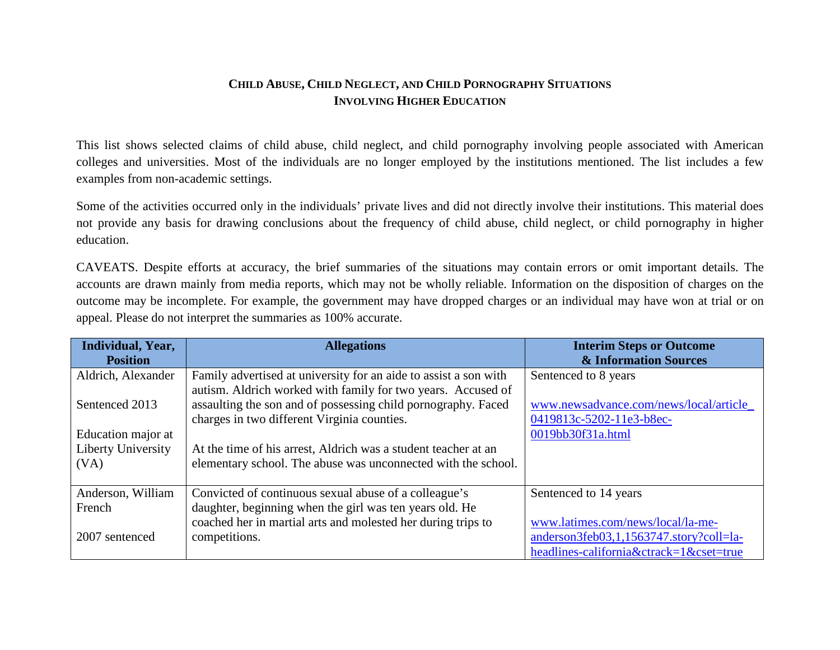## **CHILD ABUSE, CHILD NEGLECT, AND CHILD PORNOGRAPHY SITUATIONS INVOLVING HIGHER EDUCATION**

This list shows selected claims of child abuse, child neglect, and child pornography involving people associated with American colleges and universities. Most of the individuals are no longer employed by the institutions mentioned. The list includes a few examples from non-academic settings.

Some of the activities occurred only in the individuals' private lives and did not directly involve their institutions. This material does not provide any basis for drawing conclusions about the frequency of child abuse, child neglect, or child pornography in higher education.

CAVEATS. Despite efforts at accuracy, the brief summaries of the situations may contain errors or omit important details. The accounts are drawn mainly from media reports, which may not be wholly reliable. Information on the disposition of charges on the outcome may be incomplete. For example, the government may have dropped charges or an individual may have won at trial or on appeal. Please do not interpret the summaries as 100% accurate.

| Individual, Year,<br><b>Position</b> | <b>Allegations</b>                                                                                                               | <b>Interim Steps or Outcome</b><br>& Information Sources            |
|--------------------------------------|----------------------------------------------------------------------------------------------------------------------------------|---------------------------------------------------------------------|
| Aldrich, Alexander                   | Family advertised at university for an aide to assist a son with<br>autism. Aldrich worked with family for two years. Accused of | Sentenced to 8 years                                                |
| Sentenced 2013                       | assaulting the son and of possessing child pornography. Faced<br>charges in two different Virginia counties.                     | www.newsadvance.com/news/local/article_<br>0419813c-5202-11e3-b8ec- |
| Education major at                   |                                                                                                                                  | 0019bb30f31a.html                                                   |
| Liberty University                   | At the time of his arrest, Aldrich was a student teacher at an                                                                   |                                                                     |
| (VA)                                 | elementary school. The abuse was unconnected with the school.                                                                    |                                                                     |
| Anderson, William                    | Convicted of continuous sexual abuse of a colleague's                                                                            | Sentenced to 14 years                                               |
| French                               | daughter, beginning when the girl was ten years old. He                                                                          |                                                                     |
|                                      | coached her in martial arts and molested her during trips to                                                                     | www.latimes.com/news/local/la-me-                                   |
| 2007 sentenced                       | competitions.                                                                                                                    | anderson3feb03,1,1563747.story?coll=la-                             |
|                                      |                                                                                                                                  | headlines-california&ctrack=1&cset=true                             |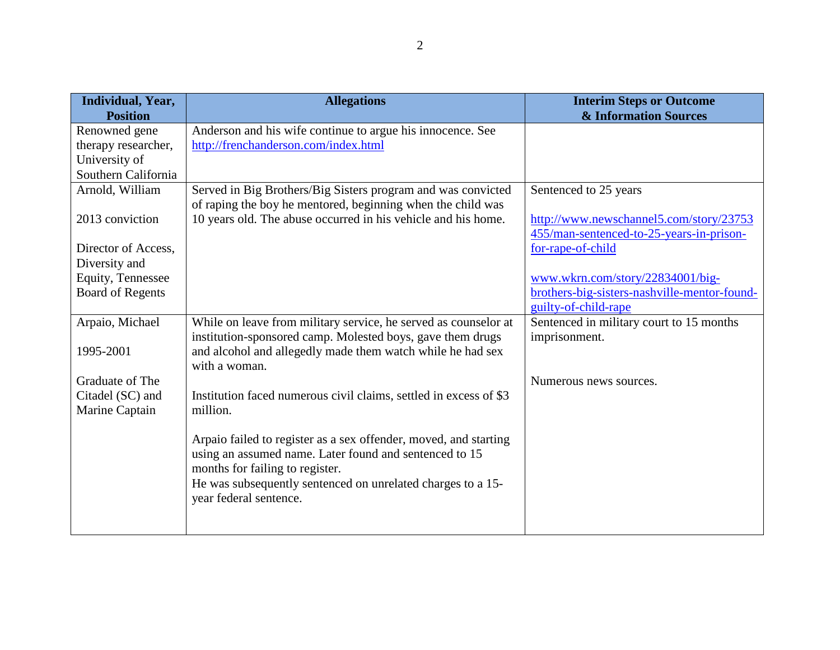| Individual, Year,<br><b>Position</b> | <b>Allegations</b>                                                            | <b>Interim Steps or Outcome</b><br><b>&amp; Information Sources</b> |
|--------------------------------------|-------------------------------------------------------------------------------|---------------------------------------------------------------------|
| Renowned gene                        | Anderson and his wife continue to argue his innocence. See                    |                                                                     |
| therapy researcher,                  | http://frenchanderson.com/index.html                                          |                                                                     |
| University of                        |                                                                               |                                                                     |
| Southern California                  |                                                                               |                                                                     |
| Arnold, William                      | Served in Big Brothers/Big Sisters program and was convicted                  | Sentenced to 25 years                                               |
|                                      | of raping the boy he mentored, beginning when the child was                   |                                                                     |
| 2013 conviction                      | 10 years old. The abuse occurred in his vehicle and his home.                 | http://www.newschannel5.com/story/23753                             |
|                                      |                                                                               | 455/man-sentenced-to-25-years-in-prison-                            |
| Director of Access.                  |                                                                               | for-rape-of-child                                                   |
| Diversity and                        |                                                                               |                                                                     |
| <b>Equity, Tennessee</b>             |                                                                               | www.wkrn.com/story/22834001/big-                                    |
| <b>Board of Regents</b>              |                                                                               | brothers-big-sisters-nashville-mentor-found-                        |
|                                      |                                                                               | guilty-of-child-rape                                                |
| Arpaio, Michael                      | While on leave from military service, he served as counselor at               | Sentenced in military court to 15 months                            |
|                                      | institution-sponsored camp. Molested boys, gave them drugs                    | imprisonment.                                                       |
| 1995-2001                            | and alcohol and allegedly made them watch while he had sex                    |                                                                     |
|                                      | with a woman.                                                                 |                                                                     |
| Graduate of The                      |                                                                               | Numerous news sources.                                              |
| Citadel (SC) and                     | Institution faced numerous civil claims, settled in excess of \$3<br>million. |                                                                     |
| Marine Captain                       |                                                                               |                                                                     |
|                                      | Arpaio failed to register as a sex offender, moved, and starting              |                                                                     |
|                                      | using an assumed name. Later found and sentenced to 15                        |                                                                     |
|                                      | months for failing to register.                                               |                                                                     |
|                                      | He was subsequently sentenced on unrelated charges to a 15-                   |                                                                     |
|                                      | year federal sentence.                                                        |                                                                     |
|                                      |                                                                               |                                                                     |
|                                      |                                                                               |                                                                     |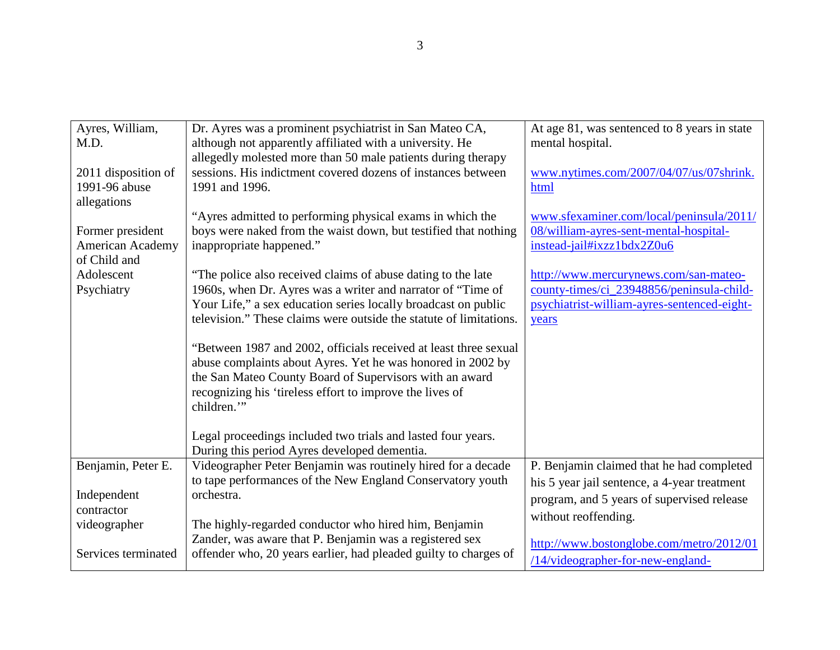| Ayres, William,                      | Dr. Ayres was a prominent psychiatrist in San Mateo CA,                        | At age 81, was sentenced to 8 years in state    |
|--------------------------------------|--------------------------------------------------------------------------------|-------------------------------------------------|
| M.D.                                 | although not apparently affiliated with a university. He                       | mental hospital.                                |
|                                      | allegedly molested more than 50 male patients during therapy                   |                                                 |
| 2011 disposition of<br>1991-96 abuse | sessions. His indictment covered dozens of instances between<br>1991 and 1996. | www.nytimes.com/2007/04/07/us/07shrink.<br>html |
| allegations                          |                                                                                |                                                 |
|                                      | "Ayres admitted to performing physical exams in which the                      | www.sfexaminer.com/local/peninsula/2011/        |
| Former president                     | boys were naked from the waist down, but testified that nothing                | 08/william-ayres-sent-mental-hospital-          |
| American Academy                     | inappropriate happened."                                                       | instead-jail#ixzz1bdx2Z0u6                      |
| of Child and<br>Adolescent           | "The police also received claims of abuse dating to the late                   | http://www.mercurynews.com/san-mateo-           |
| Psychiatry                           | 1960s, when Dr. Ayres was a writer and narrator of "Time of                    | county-times/ci_23948856/peninsula-child-       |
|                                      | Your Life," a sex education series locally broadcast on public                 | psychiatrist-william-ayres-sentenced-eight-     |
|                                      | television." These claims were outside the statute of limitations.             | years                                           |
|                                      | "Between 1987 and 2002, officials received at least three sexual               |                                                 |
|                                      | abuse complaints about Ayres. Yet he was honored in 2002 by                    |                                                 |
|                                      | the San Mateo County Board of Supervisors with an award                        |                                                 |
|                                      | recognizing his 'tireless effort to improve the lives of                       |                                                 |
|                                      | children."                                                                     |                                                 |
|                                      | Legal proceedings included two trials and lasted four years.                   |                                                 |
|                                      | During this period Ayres developed dementia.                                   |                                                 |
| Benjamin, Peter E.                   | Videographer Peter Benjamin was routinely hired for a decade                   | P. Benjamin claimed that he had completed       |
|                                      | to tape performances of the New England Conservatory youth                     | his 5 year jail sentence, a 4-year treatment    |
| Independent                          | orchestra.                                                                     | program, and 5 years of supervised release      |
| contractor<br>videographer           | The highly-regarded conductor who hired him, Benjamin                          | without reoffending.                            |
|                                      | Zander, was aware that P. Benjamin was a registered sex                        |                                                 |
| Services terminated                  | offender who, 20 years earlier, had pleaded guilty to charges of               | http://www.bostonglobe.com/metro/2012/01        |
|                                      |                                                                                | $/14$ /videographer-for-new-england-            |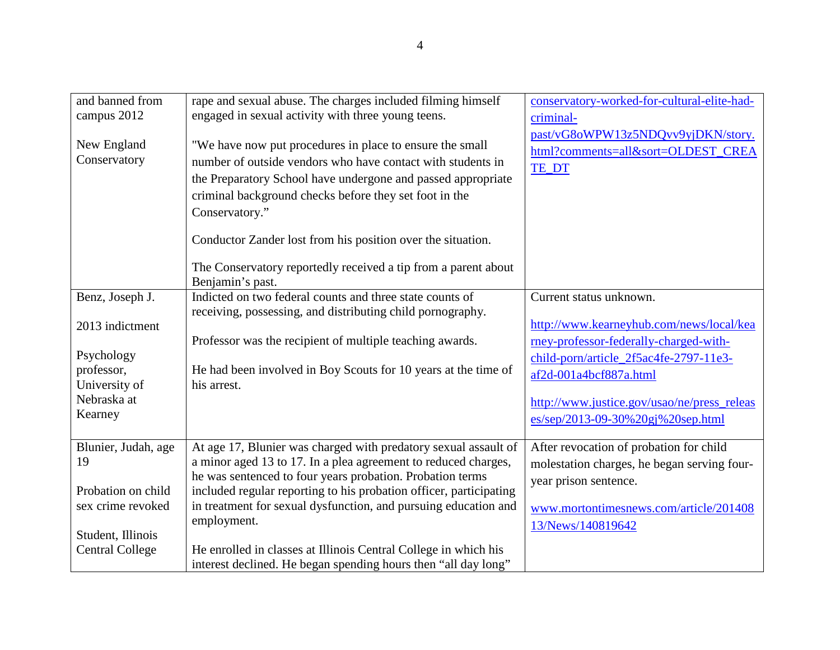| and banned from<br>campus 2012<br>New England<br>Conservatory | rape and sexual abuse. The charges included filming himself<br>engaged in sexual activity with three young teens.<br>"We have now put procedures in place to ensure the small<br>number of outside vendors who have contact with students in | conservatory-worked-for-cultural-elite-had-<br>criminal-<br>past/vG8oWPW13z5NDQvv9yjDKN/story.<br>html?comments=all&sort=OLDEST_CREA<br>TE_DT |
|---------------------------------------------------------------|----------------------------------------------------------------------------------------------------------------------------------------------------------------------------------------------------------------------------------------------|-----------------------------------------------------------------------------------------------------------------------------------------------|
|                                                               | the Preparatory School have undergone and passed appropriate<br>criminal background checks before they set foot in the                                                                                                                       |                                                                                                                                               |
|                                                               | Conservatory."                                                                                                                                                                                                                               |                                                                                                                                               |
|                                                               | Conductor Zander lost from his position over the situation.                                                                                                                                                                                  |                                                                                                                                               |
|                                                               | The Conservatory reportedly received a tip from a parent about<br>Benjamin's past.                                                                                                                                                           |                                                                                                                                               |
| Benz, Joseph J.                                               | Indicted on two federal counts and three state counts of<br>receiving, possessing, and distributing child pornography.                                                                                                                       | Current status unknown.                                                                                                                       |
| 2013 indictment                                               |                                                                                                                                                                                                                                              | http://www.kearneyhub.com/news/local/kea                                                                                                      |
|                                                               | Professor was the recipient of multiple teaching awards.                                                                                                                                                                                     | rney-professor-federally-charged-with-                                                                                                        |
| Psychology<br>professor,                                      | He had been involved in Boy Scouts for 10 years at the time of                                                                                                                                                                               | child-porn/article_2f5ac4fe-2797-11e3-                                                                                                        |
| University of                                                 | his arrest.                                                                                                                                                                                                                                  | af2d-001a4bcf887a.html                                                                                                                        |
| Nebraska at                                                   |                                                                                                                                                                                                                                              | http://www.justice.gov/usao/ne/press_releas                                                                                                   |
| Kearney                                                       |                                                                                                                                                                                                                                              | es/sep/2013-09-30%20gj%20sep.html                                                                                                             |
| Blunier, Judah, age                                           | At age 17, Blunier was charged with predatory sexual assault of                                                                                                                                                                              | After revocation of probation for child                                                                                                       |
| 19                                                            | a minor aged 13 to 17. In a plea agreement to reduced charges,                                                                                                                                                                               | molestation charges, he began serving four-                                                                                                   |
| Probation on child                                            | he was sentenced to four years probation. Probation terms<br>included regular reporting to his probation officer, participating                                                                                                              | year prison sentence.                                                                                                                         |
| sex crime revoked                                             | in treatment for sexual dysfunction, and pursuing education and                                                                                                                                                                              | www.mortontimesnews.com/article/201408                                                                                                        |
|                                                               | employment.                                                                                                                                                                                                                                  | 13/News/140819642                                                                                                                             |
| Student, Illinois<br><b>Central College</b>                   | He enrolled in classes at Illinois Central College in which his                                                                                                                                                                              |                                                                                                                                               |
|                                                               | interest declined. He began spending hours then "all day long"                                                                                                                                                                               |                                                                                                                                               |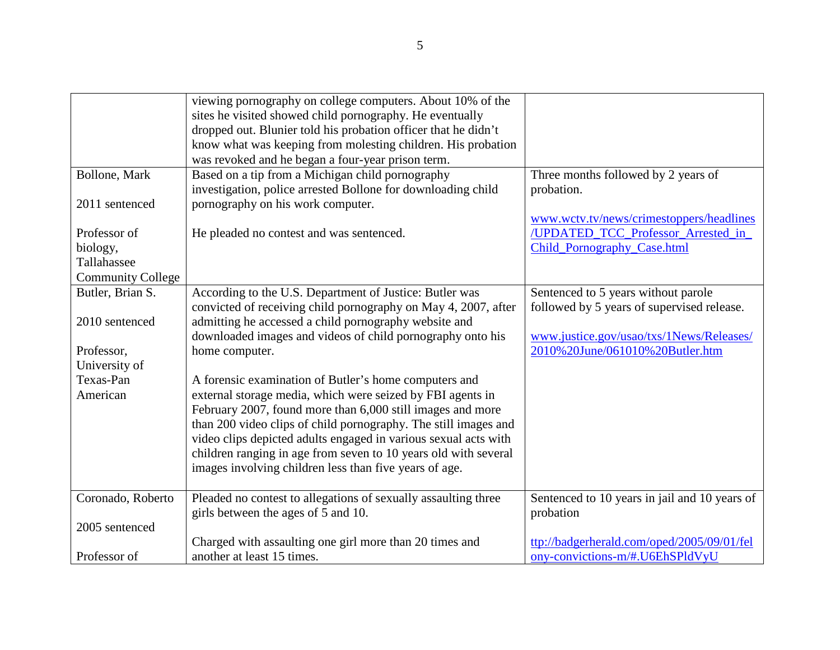|                          | viewing pornography on college computers. About 10% of the<br>sites he visited showed child pornography. He eventually<br>dropped out. Blunier told his probation officer that he didn't |                                                                   |
|--------------------------|------------------------------------------------------------------------------------------------------------------------------------------------------------------------------------------|-------------------------------------------------------------------|
|                          | know what was keeping from molesting children. His probation                                                                                                                             |                                                                   |
|                          | was revoked and he began a four-year prison term.                                                                                                                                        |                                                                   |
| Bollone, Mark            | Based on a tip from a Michigan child pornography                                                                                                                                         | Three months followed by 2 years of                               |
|                          | investigation, police arrested Bollone for downloading child                                                                                                                             | probation.                                                        |
| 2011 sentenced           | pornography on his work computer.                                                                                                                                                        |                                                                   |
|                          |                                                                                                                                                                                          | www.wctv.tv/news/crimestoppers/headlines                          |
| Professor of<br>biology, | He pleaded no contest and was sentenced.                                                                                                                                                 | /UPDATED_TCC_Professor_Arrested_in<br>Child_Pornography_Case.html |
| Tallahassee              |                                                                                                                                                                                          |                                                                   |
| <b>Community College</b> |                                                                                                                                                                                          |                                                                   |
| Butler, Brian S.         | According to the U.S. Department of Justice: Butler was                                                                                                                                  | Sentenced to 5 years without parole                               |
|                          | convicted of receiving child pornography on May 4, 2007, after                                                                                                                           | followed by 5 years of supervised release.                        |
| 2010 sentenced           | admitting he accessed a child pornography website and                                                                                                                                    |                                                                   |
|                          | downloaded images and videos of child pornography onto his                                                                                                                               | www.justice.gov/usao/txs/1News/Releases/                          |
| Professor,               | home computer.                                                                                                                                                                           | 2010%20June/061010%20Butler.htm                                   |
| University of            |                                                                                                                                                                                          |                                                                   |
| Texas-Pan                | A forensic examination of Butler's home computers and                                                                                                                                    |                                                                   |
| American                 | external storage media, which were seized by FBI agents in                                                                                                                               |                                                                   |
|                          | February 2007, found more than 6,000 still images and more                                                                                                                               |                                                                   |
|                          | than 200 video clips of child pornography. The still images and<br>video clips depicted adults engaged in various sexual acts with                                                       |                                                                   |
|                          | children ranging in age from seven to 10 years old with several                                                                                                                          |                                                                   |
|                          | images involving children less than five years of age.                                                                                                                                   |                                                                   |
|                          |                                                                                                                                                                                          |                                                                   |
| Coronado, Roberto        | Pleaded no contest to allegations of sexually assaulting three                                                                                                                           | Sentenced to 10 years in jail and 10 years of                     |
|                          | girls between the ages of 5 and 10.                                                                                                                                                      | probation                                                         |
| 2005 sentenced           |                                                                                                                                                                                          |                                                                   |
|                          | Charged with assaulting one girl more than 20 times and                                                                                                                                  | ttp://badgerherald.com/oped/2005/09/01/fel                        |
| Professor of             | another at least 15 times.                                                                                                                                                               | ony-convictions-m/#.U6EhSPldVyU                                   |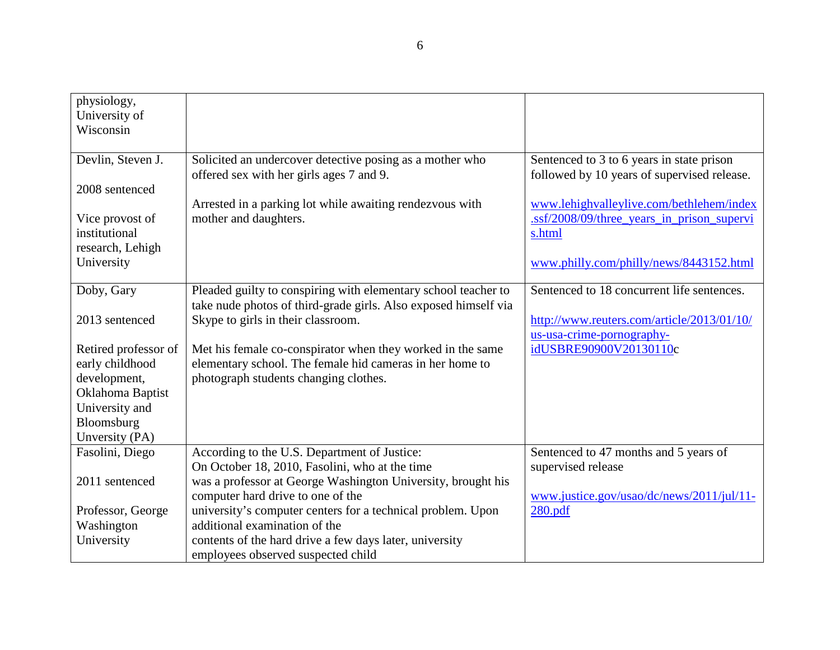| physiology,<br>University of<br>Wisconsin            |                                                                                                                                   |                                                                                                  |
|------------------------------------------------------|-----------------------------------------------------------------------------------------------------------------------------------|--------------------------------------------------------------------------------------------------|
| Devlin, Steven J.                                    | Solicited an undercover detective posing as a mother who<br>offered sex with her girls ages 7 and 9.                              | Sentenced to 3 to 6 years in state prison<br>followed by 10 years of supervised release.         |
| 2008 sentenced                                       |                                                                                                                                   |                                                                                                  |
| Vice provost of<br>institutional<br>research, Lehigh | Arrested in a parking lot while awaiting rendezvous with<br>mother and daughters.                                                 | www.lehighvalleylive.com/bethlehem/index<br>.ssf/2008/09/three_years_in_prison_supervi<br>s.html |
| University                                           |                                                                                                                                   | www.philly.com/philly/news/8443152.html                                                          |
| Doby, Gary                                           | Pleaded guilty to conspiring with elementary school teacher to<br>take nude photos of third-grade girls. Also exposed himself via | Sentenced to 18 concurrent life sentences.                                                       |
| 2013 sentenced                                       | Skype to girls in their classroom.                                                                                                | http://www.reuters.com/article/2013/01/10/<br>us-usa-crime-pornography-                          |
| Retired professor of<br>early childhood              | Met his female co-conspirator when they worked in the same<br>elementary school. The female hid cameras in her home to            | idUSBRE90900V20130110c                                                                           |
| development,<br>Oklahoma Baptist<br>University and   | photograph students changing clothes.                                                                                             |                                                                                                  |
| Bloomsburg                                           |                                                                                                                                   |                                                                                                  |
| Unversity (PA)                                       |                                                                                                                                   |                                                                                                  |
| Fasolini, Diego                                      | According to the U.S. Department of Justice:<br>On October 18, 2010, Fasolini, who at the time                                    | Sentenced to 47 months and 5 years of<br>supervised release                                      |
| 2011 sentenced                                       | was a professor at George Washington University, brought his<br>computer hard drive to one of the                                 | www.justice.gov/usao/dc/news/2011/jul/11-                                                        |
| Professor, George                                    | university's computer centers for a technical problem. Upon                                                                       | 280.pdf                                                                                          |
| Washington                                           | additional examination of the                                                                                                     |                                                                                                  |
| University                                           | contents of the hard drive a few days later, university<br>employees observed suspected child                                     |                                                                                                  |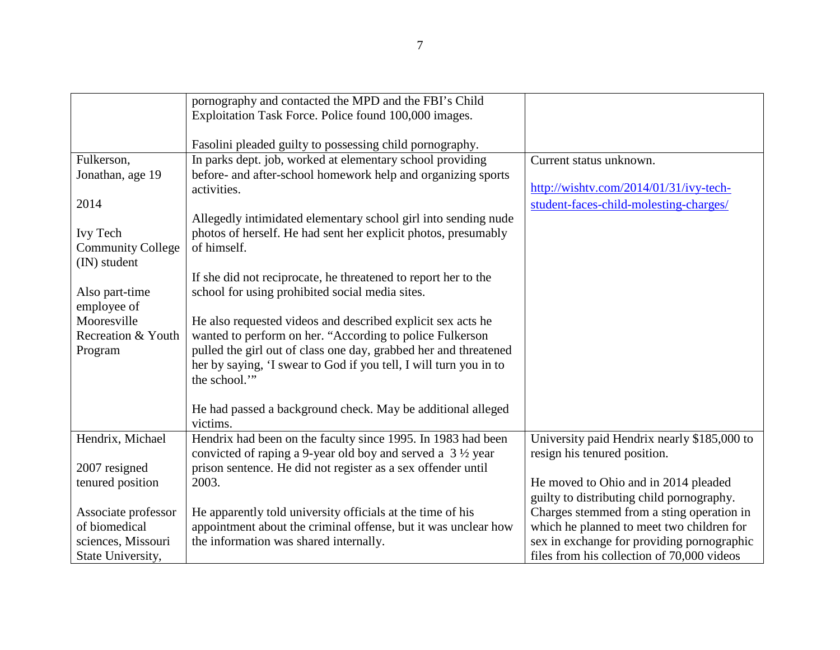|                          | pornography and contacted the MPD and the FBI's Child                 |                                             |
|--------------------------|-----------------------------------------------------------------------|---------------------------------------------|
|                          | Exploitation Task Force. Police found 100,000 images.                 |                                             |
|                          |                                                                       |                                             |
|                          | Fasolini pleaded guilty to possessing child pornography.              |                                             |
| Fulkerson,               | In parks dept. job, worked at elementary school providing             | Current status unknown.                     |
| Jonathan, age 19         | before- and after-school homework help and organizing sports          |                                             |
|                          | activities.                                                           | http://wishtv.com/2014/01/31/ivy-tech-      |
| 2014                     |                                                                       | student-faces-child-molesting-charges/      |
|                          | Allegedly intimidated elementary school girl into sending nude        |                                             |
| Ivy Tech                 | photos of herself. He had sent her explicit photos, presumably        |                                             |
| <b>Community College</b> | of himself.                                                           |                                             |
| (IN) student             |                                                                       |                                             |
|                          | If she did not reciprocate, he threatened to report her to the        |                                             |
| Also part-time           | school for using prohibited social media sites.                       |                                             |
| employee of              |                                                                       |                                             |
| Mooresville              | He also requested videos and described explicit sex acts he           |                                             |
| Recreation & Youth       | wanted to perform on her. "According to police Fulkerson              |                                             |
| Program                  | pulled the girl out of class one day, grabbed her and threatened      |                                             |
|                          | her by saying, 'I swear to God if you tell, I will turn you in to     |                                             |
|                          | the school."                                                          |                                             |
|                          |                                                                       |                                             |
|                          | He had passed a background check. May be additional alleged           |                                             |
|                          | victims.                                                              |                                             |
| Hendrix, Michael         | Hendrix had been on the faculty since 1995. In 1983 had been          | University paid Hendrix nearly \$185,000 to |
|                          | convicted of raping a 9-year old boy and served a $3\frac{1}{2}$ year | resign his tenured position.                |
| 2007 resigned            | prison sentence. He did not register as a sex offender until          |                                             |
| tenured position         | 2003.                                                                 | He moved to Ohio and in 2014 pleaded        |
|                          |                                                                       | guilty to distributing child pornography.   |
| Associate professor      | He apparently told university officials at the time of his            | Charges stemmed from a sting operation in   |
| of biomedical            | appointment about the criminal offense, but it was unclear how        | which he planned to meet two children for   |
| sciences, Missouri       | the information was shared internally.                                | sex in exchange for providing pornographic  |
| State University,        |                                                                       | files from his collection of 70,000 videos  |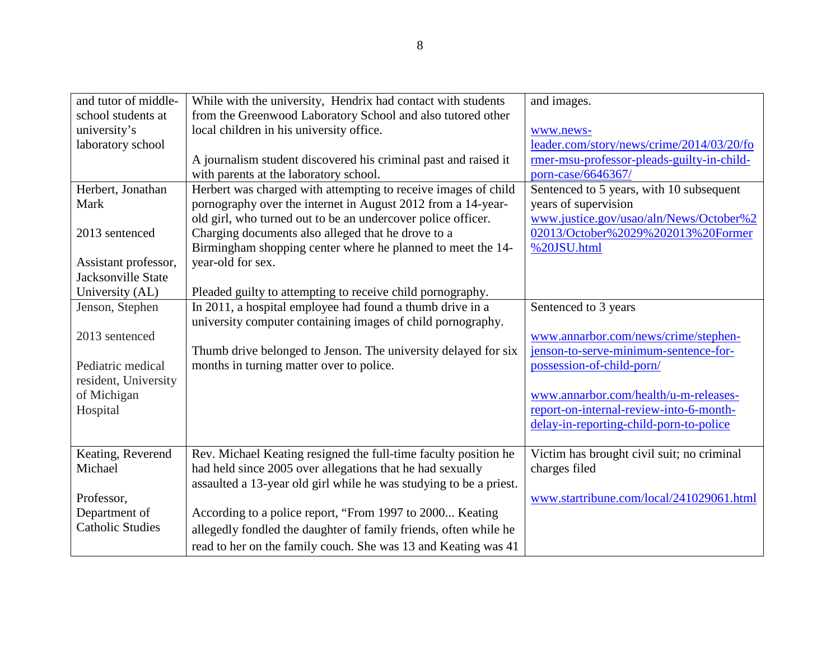| and tutor of middle-    | While with the university, Hendrix had contact with students       | and images.                                |
|-------------------------|--------------------------------------------------------------------|--------------------------------------------|
| school students at      | from the Greenwood Laboratory School and also tutored other        |                                            |
| university's            | local children in his university office.                           | www.news-                                  |
| laboratory school       |                                                                    | leader.com/story/news/crime/2014/03/20/fo  |
|                         | A journalism student discovered his criminal past and raised it    | rmer-msu-professor-pleads-guilty-in-child- |
|                         | with parents at the laboratory school.                             | porn-case/6646367/                         |
| Herbert, Jonathan       | Herbert was charged with attempting to receive images of child     | Sentenced to 5 years, with 10 subsequent   |
| Mark                    | pornography over the internet in August 2012 from a 14-year-       | years of supervision                       |
|                         | old girl, who turned out to be an undercover police officer.       | www.justice.gov/usao/aln/News/October%2    |
| 2013 sentenced          | Charging documents also alleged that he drove to a                 | 02013/October%2029%202013%20Former         |
|                         | Birmingham shopping center where he planned to meet the 14-        | %20JSU.html                                |
| Assistant professor,    | year-old for sex.                                                  |                                            |
| Jacksonville State      |                                                                    |                                            |
| University (AL)         | Pleaded guilty to attempting to receive child pornography.         |                                            |
| Jenson, Stephen         | In 2011, a hospital employee had found a thumb drive in a          | Sentenced to 3 years                       |
|                         | university computer containing images of child pornography.        |                                            |
| 2013 sentenced          |                                                                    | www.annarbor.com/news/crime/stephen-       |
|                         | Thumb drive belonged to Jenson. The university delayed for six     | jenson-to-serve-minimum-sentence-for-      |
| Pediatric medical       | months in turning matter over to police.                           | possession-of-child-porn/                  |
| resident, University    |                                                                    |                                            |
| of Michigan             |                                                                    | www.annarbor.com/health/u-m-releases-      |
| Hospital                |                                                                    | report-on-internal-review-into-6-month-    |
|                         |                                                                    | delay-in-reporting-child-porn-to-police    |
|                         |                                                                    |                                            |
| Keating, Reverend       | Rev. Michael Keating resigned the full-time faculty position he    | Victim has brought civil suit; no criminal |
| Michael                 | had held since 2005 over allegations that he had sexually          | charges filed                              |
|                         | assaulted a 13-year old girl while he was studying to be a priest. |                                            |
| Professor,              |                                                                    | www.startribune.com/local/241029061.html   |
| Department of           | According to a police report, "From 1997 to 2000 Keating           |                                            |
| <b>Catholic Studies</b> | allegedly fondled the daughter of family friends, often while he   |                                            |
|                         | read to her on the family couch. She was 13 and Keating was 41     |                                            |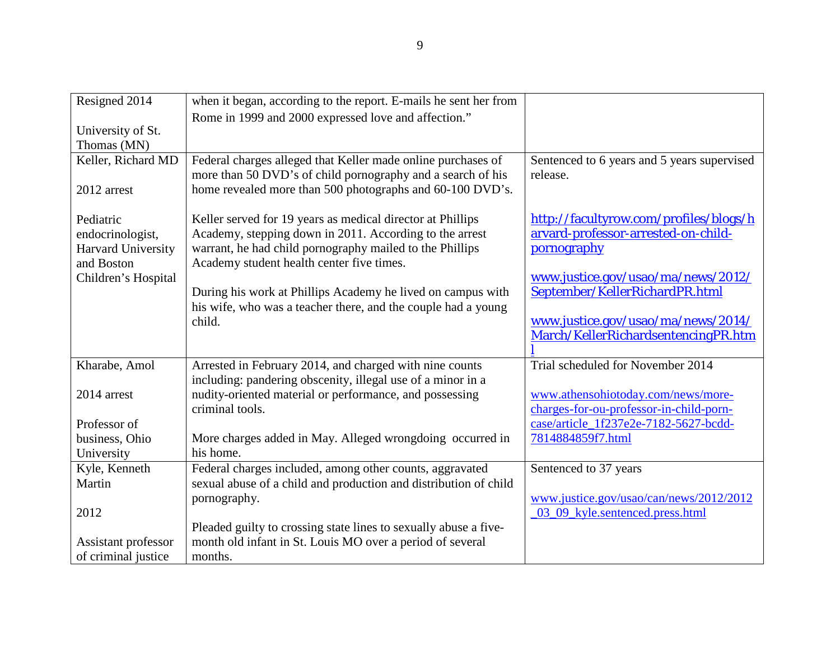| Resigned 2014       | when it began, according to the report. E-mails he sent her from        |                                                                           |
|---------------------|-------------------------------------------------------------------------|---------------------------------------------------------------------------|
|                     | Rome in 1999 and 2000 expressed love and affection."                    |                                                                           |
| University of St.   |                                                                         |                                                                           |
| Thomas (MN)         |                                                                         |                                                                           |
| Keller, Richard MD  | Federal charges alleged that Keller made online purchases of            | Sentenced to 6 years and 5 years supervised                               |
|                     | more than 50 DVD's of child pornography and a search of his             | release.                                                                  |
| 2012 arrest         | home revealed more than 500 photographs and 60-100 DVD's.               |                                                                           |
|                     |                                                                         |                                                                           |
| Pediatric           | Keller served for 19 years as medical director at Phillips              | http://facultyrow.com/profiles/blogs/h                                    |
| endocrinologist,    | Academy, stepping down in 2011. According to the arrest                 | arvard-professor-arrested-on-child-                                       |
| Harvard University  | warrant, he had child pornography mailed to the Phillips                | pornography                                                               |
| and Boston          | Academy student health center five times.                               |                                                                           |
| Children's Hospital |                                                                         | www.justice.gov/usao/ma/news/2012/                                        |
|                     | During his work at Phillips Academy he lived on campus with             | September/KellerRichardPR.html                                            |
|                     | his wife, who was a teacher there, and the couple had a young<br>child. |                                                                           |
|                     |                                                                         | www.justice.gov/usao/ma/news/2014/<br>March/KellerRichardsentencingPR.htm |
|                     |                                                                         |                                                                           |
| Kharabe, Amol       | Arrested in February 2014, and charged with nine counts                 | Trial scheduled for November 2014                                         |
|                     | including: pandering obscenity, illegal use of a minor in a             |                                                                           |
| 2014 arrest         | nudity-oriented material or performance, and possessing                 | www.athensohiotoday.com/news/more-                                        |
|                     | criminal tools.                                                         | charges-for-ou-professor-in-child-porn-                                   |
| Professor of        |                                                                         | case/article_1f237e2e-7182-5627-bcdd-                                     |
| business, Ohio      | More charges added in May. Alleged wrongdoing occurred in               | 7814884859f7.html                                                         |
| University          | his home.                                                               |                                                                           |
| Kyle, Kenneth       | Federal charges included, among other counts, aggravated                | Sentenced to 37 years                                                     |
| Martin              | sexual abuse of a child and production and distribution of child        |                                                                           |
|                     | pornography.                                                            | www.justice.gov/usao/can/news/2012/2012                                   |
| 2012                |                                                                         | 03_09_kyle.sentenced.press.html                                           |
|                     | Pleaded guilty to crossing state lines to sexually abuse a five-        |                                                                           |
| Assistant professor | month old infant in St. Louis MO over a period of several               |                                                                           |
| of criminal justice | months.                                                                 |                                                                           |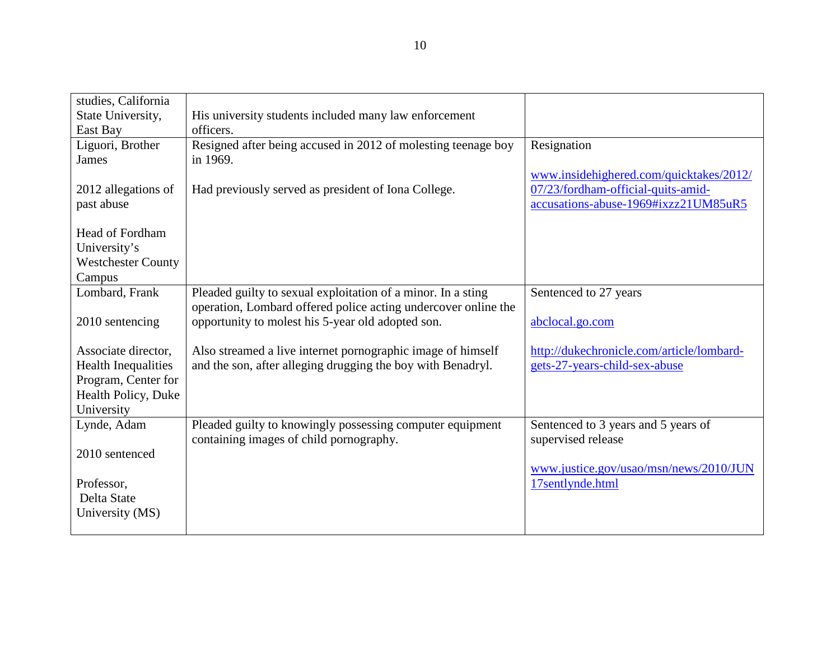| studies, California        |                                                                |                                           |
|----------------------------|----------------------------------------------------------------|-------------------------------------------|
| State University,          | His university students included many law enforcement          |                                           |
| East Bay                   | officers.                                                      |                                           |
| Liguori, Brother           | Resigned after being accused in 2012 of molesting teenage boy  | Resignation                               |
| <b>James</b>               | in 1969.                                                       |                                           |
|                            |                                                                | www.insidehighered.com/quicktakes/2012/   |
| 2012 allegations of        | Had previously served as president of Iona College.            | 07/23/fordham-official-quits-amid-        |
| past abuse                 |                                                                | accusations-abuse-1969#ixzz21UM85uR5      |
|                            |                                                                |                                           |
| <b>Head of Fordham</b>     |                                                                |                                           |
| University's               |                                                                |                                           |
| <b>Westchester County</b>  |                                                                |                                           |
| Campus                     |                                                                |                                           |
| Lombard, Frank             | Pleaded guilty to sexual exploitation of a minor. In a sting   | Sentenced to 27 years                     |
|                            | operation, Lombard offered police acting undercover online the |                                           |
| 2010 sentencing            | opportunity to molest his 5-year old adopted son.              | abclocal.go.com                           |
|                            |                                                                |                                           |
| Associate director,        | Also streamed a live internet pornographic image of himself    | http://dukechronicle.com/article/lombard- |
| <b>Health Inequalities</b> | and the son, after alleging drugging the boy with Benadryl.    | gets-27-years-child-sex-abuse             |
| Program, Center for        |                                                                |                                           |
| Health Policy, Duke        |                                                                |                                           |
| University                 |                                                                |                                           |
| Lynde, Adam                | Pleaded guilty to knowingly possessing computer equipment      | Sentenced to 3 years and 5 years of       |
|                            | containing images of child pornography.                        | supervised release                        |
| 2010 sentenced             |                                                                |                                           |
|                            |                                                                | www.justice.gov/usao/msn/news/2010/JUN    |
| Professor,                 |                                                                | 17sentlynde.html                          |
| Delta State                |                                                                |                                           |
| University (MS)            |                                                                |                                           |
|                            |                                                                |                                           |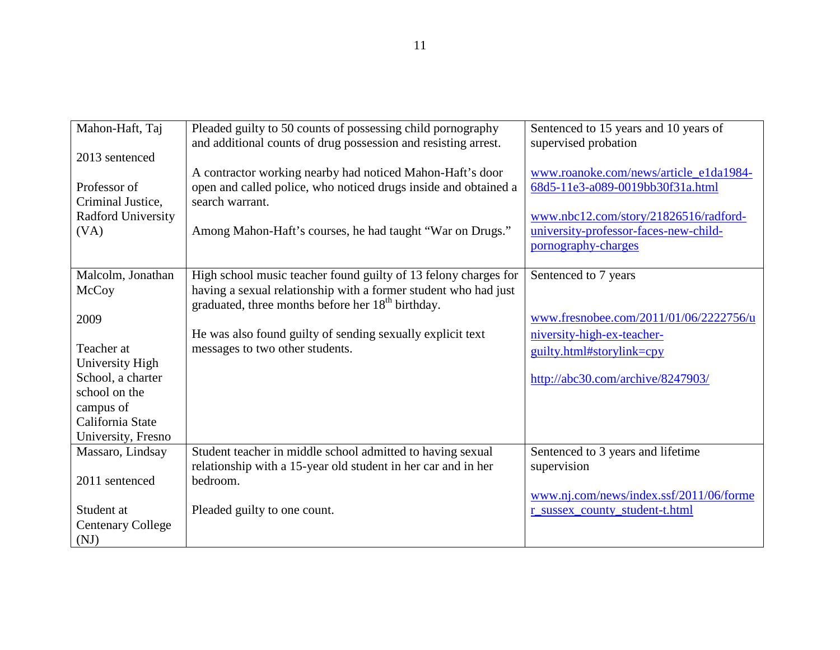| Mahon-Haft, Taj                         | Pleaded guilty to 50 counts of possessing child pornography<br>and additional counts of drug possession and resisting arrest.    | Sentenced to 15 years and 10 years of<br>supervised probation |
|-----------------------------------------|----------------------------------------------------------------------------------------------------------------------------------|---------------------------------------------------------------|
| 2013 sentenced                          | A contractor working nearby had noticed Mahon-Haft's door                                                                        | www.roanoke.com/news/article_e1da1984-                        |
| Professor of                            | open and called police, who noticed drugs inside and obtained a                                                                  | 68d5-11e3-a089-0019bb30f31a.html                              |
| Criminal Justice,<br>Radford University | search warrant.                                                                                                                  | www.nbc12.com/story/21826516/radford-                         |
| (VA)                                    | Among Mahon-Haft's courses, he had taught "War on Drugs."                                                                        | university-professor-faces-new-child-                         |
|                                         |                                                                                                                                  | pornography-charges                                           |
| Malcolm, Jonathan                       | High school music teacher found guilty of 13 felony charges for                                                                  | Sentenced to 7 years                                          |
| McCoy                                   | having a sexual relationship with a former student who had just<br>graduated, three months before her 18 <sup>th</sup> birthday. |                                                               |
| 2009                                    |                                                                                                                                  | www.fresnobee.com/2011/01/06/2222756/u                        |
|                                         | He was also found guilty of sending sexually explicit text                                                                       | niversity-high-ex-teacher-                                    |
| Teacher at<br>University High           | messages to two other students.                                                                                                  | guilty.html#storylink=cpy                                     |
| School, a charter                       |                                                                                                                                  | http://abc30.com/archive/8247903/                             |
| school on the                           |                                                                                                                                  |                                                               |
| campus of<br>California State           |                                                                                                                                  |                                                               |
| University, Fresno                      |                                                                                                                                  |                                                               |
| Massaro, Lindsay                        | Student teacher in middle school admitted to having sexual                                                                       | Sentenced to 3 years and lifetime                             |
|                                         | relationship with a 15-year old student in her car and in her                                                                    | supervision                                                   |
| 2011 sentenced                          | bedroom.                                                                                                                         | www.nj.com/news/index.ssf/2011/06/forme                       |
| Student at                              | Pleaded guilty to one count.                                                                                                     | r_sussex_county_student-t.html                                |
| <b>Centenary College</b>                |                                                                                                                                  |                                                               |
| (NJ)                                    |                                                                                                                                  |                                                               |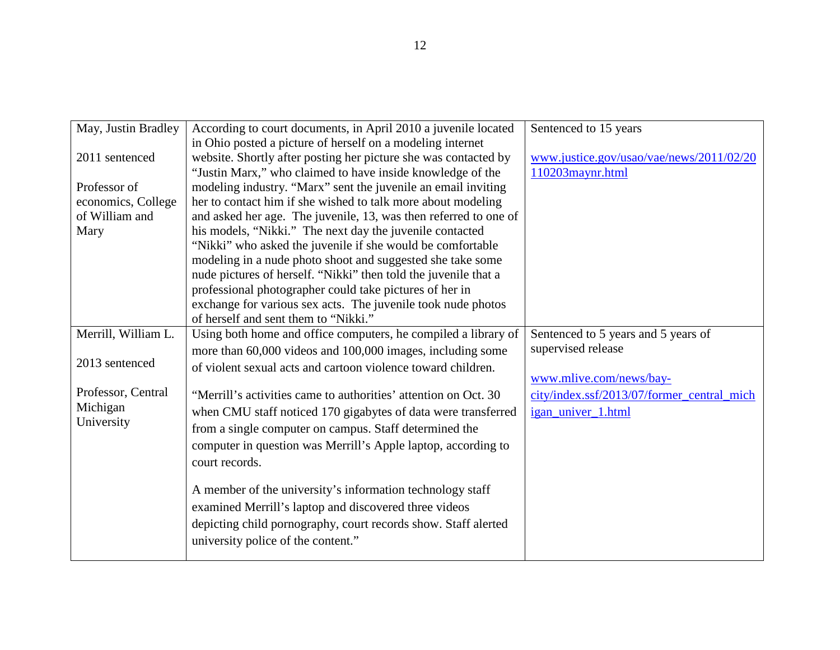| May, Justin Bradley | According to court documents, in April 2010 a juvenile located   | Sentenced to 15 years                      |
|---------------------|------------------------------------------------------------------|--------------------------------------------|
|                     | in Ohio posted a picture of herself on a modeling internet       |                                            |
| 2011 sentenced      | website. Shortly after posting her picture she was contacted by  | www.justice.gov/usao/vae/news/2011/02/20   |
|                     | "Justin Marx," who claimed to have inside knowledge of the       | 110203maynr.html                           |
| Professor of        | modeling industry. "Marx" sent the juvenile an email inviting    |                                            |
| economics, College  | her to contact him if she wished to talk more about modeling     |                                            |
| of William and      |                                                                  |                                            |
|                     | and asked her age. The juvenile, 13, was then referred to one of |                                            |
| Mary                | his models, "Nikki." The next day the juvenile contacted         |                                            |
|                     | "Nikki" who asked the juvenile if she would be comfortable       |                                            |
|                     | modeling in a nude photo shoot and suggested she take some       |                                            |
|                     | nude pictures of herself. "Nikki" then told the juvenile that a  |                                            |
|                     | professional photographer could take pictures of her in          |                                            |
|                     | exchange for various sex acts. The juvenile took nude photos     |                                            |
|                     | of herself and sent them to "Nikki."                             |                                            |
| Merrill, William L. | Using both home and office computers, he compiled a library of   | Sentenced to 5 years and 5 years of        |
|                     | more than 60,000 videos and 100,000 images, including some       | supervised release                         |
| 2013 sentenced      | of violent sexual acts and cartoon violence toward children.     |                                            |
|                     |                                                                  | www.mlive.com/news/bay-                    |
| Professor, Central  | "Merrill's activities came to authorities' attention on Oct. 30  | city/index.ssf/2013/07/former_central_mich |
| Michigan            | when CMU staff noticed 170 gigabytes of data were transferred    | igan_univer_1.html                         |
| University          | from a single computer on campus. Staff determined the           |                                            |
|                     |                                                                  |                                            |
|                     | computer in question was Merrill's Apple laptop, according to    |                                            |
|                     | court records.                                                   |                                            |
|                     |                                                                  |                                            |
|                     | A member of the university's information technology staff        |                                            |
|                     | examined Merrill's laptop and discovered three videos            |                                            |
|                     | depicting child pornography, court records show. Staff alerted   |                                            |
|                     | university police of the content."                               |                                            |
|                     |                                                                  |                                            |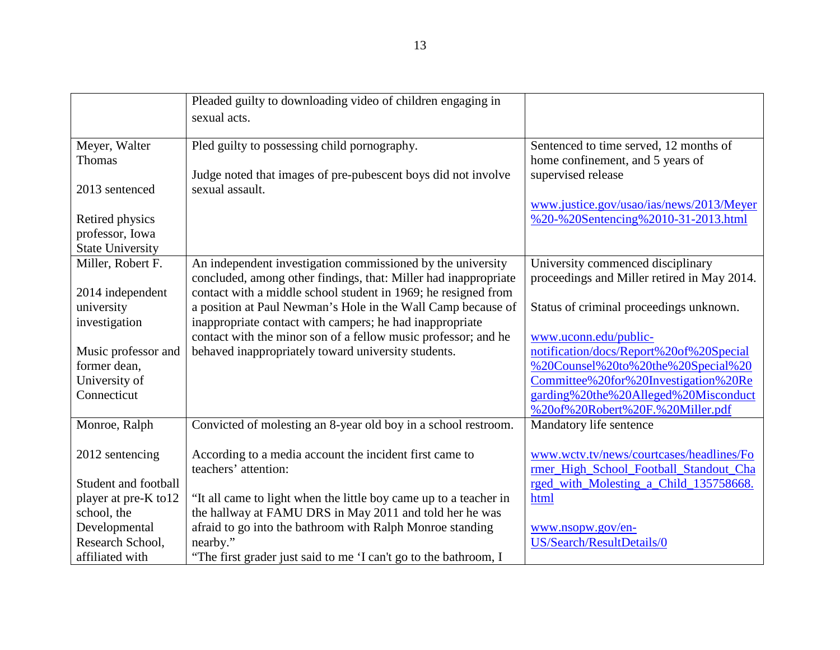|                         | Pleaded guilty to downloading video of children engaging in                                                                |                                             |
|-------------------------|----------------------------------------------------------------------------------------------------------------------------|---------------------------------------------|
|                         | sexual acts.                                                                                                               |                                             |
|                         |                                                                                                                            |                                             |
| Meyer, Walter           | Pled guilty to possessing child pornography.                                                                               | Sentenced to time served, 12 months of      |
| Thomas                  |                                                                                                                            | home confinement, and 5 years of            |
|                         | Judge noted that images of pre-pubescent boys did not involve                                                              | supervised release                          |
| 2013 sentenced          | sexual assault.                                                                                                            |                                             |
|                         |                                                                                                                            | www.justice.gov/usao/ias/news/2013/Meyer    |
| Retired physics         |                                                                                                                            | %20-%20Sentencing%2010-31-2013.html         |
| professor, Iowa         |                                                                                                                            |                                             |
| <b>State University</b> |                                                                                                                            |                                             |
| Miller, Robert F.       | An independent investigation commissioned by the university                                                                | University commenced disciplinary           |
|                         | concluded, among other findings, that: Miller had inappropriate                                                            | proceedings and Miller retired in May 2014. |
| 2014 independent        | contact with a middle school student in 1969; he resigned from                                                             |                                             |
| university              | a position at Paul Newman's Hole in the Wall Camp because of                                                               | Status of criminal proceedings unknown.     |
| investigation           | inappropriate contact with campers; he had inappropriate<br>contact with the minor son of a fellow music professor; and he | www.uconn.edu/public-                       |
| Music professor and     | behaved inappropriately toward university students.                                                                        | notification/docs/Report%20of%20Special     |
| former dean,            |                                                                                                                            | %20Counsel%20to%20the%20Special%20          |
| University of           |                                                                                                                            | Committee%20for%20Investigation%20Re        |
| Connecticut             |                                                                                                                            | garding%20the%20Alleged%20Misconduct        |
|                         |                                                                                                                            | %20of%20Robert%20F.%20Miller.pdf            |
| Monroe, Ralph           | Convicted of molesting an 8-year old boy in a school restroom.                                                             | Mandatory life sentence                     |
|                         |                                                                                                                            |                                             |
| 2012 sentencing         | According to a media account the incident first came to                                                                    | www.wctv.tv/news/courtcases/headlines/Fo    |
|                         | teachers' attention:                                                                                                       | rmer_High_School_Football_Standout_Cha      |
| Student and football    |                                                                                                                            | rged with Molesting a Child 135758668.      |
| player at pre-K to12    | "It all came to light when the little boy came up to a teacher in                                                          | html                                        |
| school, the             | the hallway at FAMU DRS in May 2011 and told her he was                                                                    |                                             |
| Developmental           | afraid to go into the bathroom with Ralph Monroe standing                                                                  | www.nsopw.gov/en-                           |
| Research School,        | nearby."                                                                                                                   | US/Search/ResultDetails/0                   |
| affiliated with         | "The first grader just said to me 'I can't go to the bathroom, I                                                           |                                             |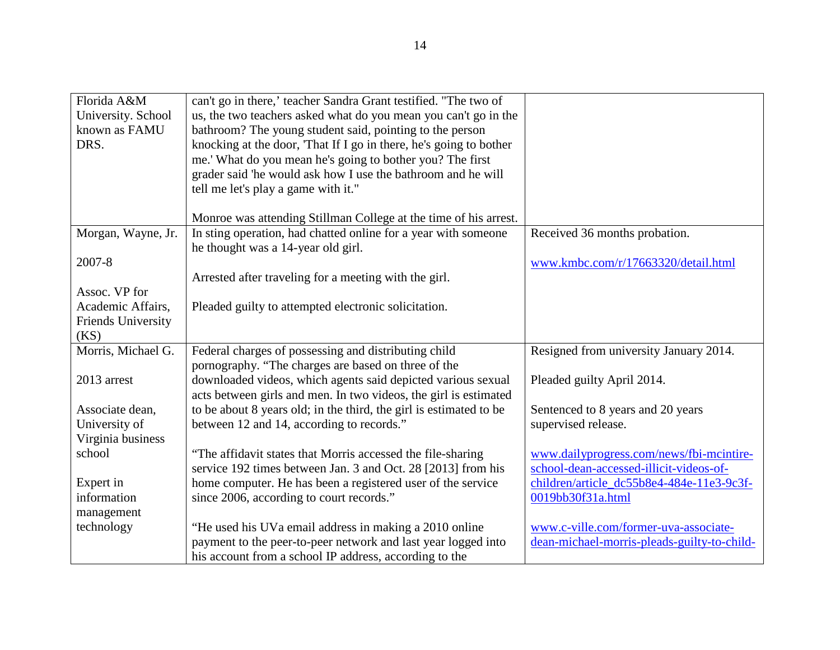| Florida A&M               | can't go in there,' teacher Sandra Grant testified. "The two of    |                                             |
|---------------------------|--------------------------------------------------------------------|---------------------------------------------|
| University. School        | us, the two teachers asked what do you mean you can't go in the    |                                             |
| known as FAMU             | bathroom? The young student said, pointing to the person           |                                             |
| DRS.                      | knocking at the door, 'That If I go in there, he's going to bother |                                             |
|                           | me.' What do you mean he's going to bother you? The first          |                                             |
|                           | grader said 'he would ask how I use the bathroom and he will       |                                             |
|                           | tell me let's play a game with it."                                |                                             |
|                           |                                                                    |                                             |
|                           | Monroe was attending Stillman College at the time of his arrest.   |                                             |
| Morgan, Wayne, Jr.        | In sting operation, had chatted online for a year with someone     | Received 36 months probation.               |
|                           | he thought was a 14-year old girl.                                 |                                             |
| 2007-8                    |                                                                    | www.kmbc.com/r/17663320/detail.html         |
|                           | Arrested after traveling for a meeting with the girl.              |                                             |
| Assoc. VP for             |                                                                    |                                             |
| Academic Affairs,         | Pleaded guilty to attempted electronic solicitation.               |                                             |
| <b>Friends University</b> |                                                                    |                                             |
| (KS)                      |                                                                    |                                             |
| Morris, Michael G.        | Federal charges of possessing and distributing child               | Resigned from university January 2014.      |
|                           | pornography. "The charges are based on three of the                |                                             |
| 2013 arrest               | downloaded videos, which agents said depicted various sexual       | Pleaded guilty April 2014.                  |
|                           | acts between girls and men. In two videos, the girl is estimated   |                                             |
| Associate dean,           | to be about 8 years old; in the third, the girl is estimated to be | Sentenced to 8 years and 20 years           |
| University of             | between 12 and 14, according to records."                          | supervised release.                         |
| Virginia business         |                                                                    |                                             |
| school                    | "The affidavit states that Morris accessed the file-sharing        | www.dailyprogress.com/news/fbi-mcintire-    |
|                           | service 192 times between Jan. 3 and Oct. 28 [2013] from his       | school-dean-accessed-illicit-videos-of-     |
| Expert in                 | home computer. He has been a registered user of the service        | children/article_dc55b8e4-484e-11e3-9c3f-   |
| information               | since 2006, according to court records."                           | 0019bb30f31a.html                           |
| management                |                                                                    |                                             |
| technology                | "He used his UVa email address in making a 2010 online             | www.c-ville.com/former-uva-associate-       |
|                           | payment to the peer-to-peer network and last year logged into      | dean-michael-morris-pleads-guilty-to-child- |
|                           | his account from a school IP address, according to the             |                                             |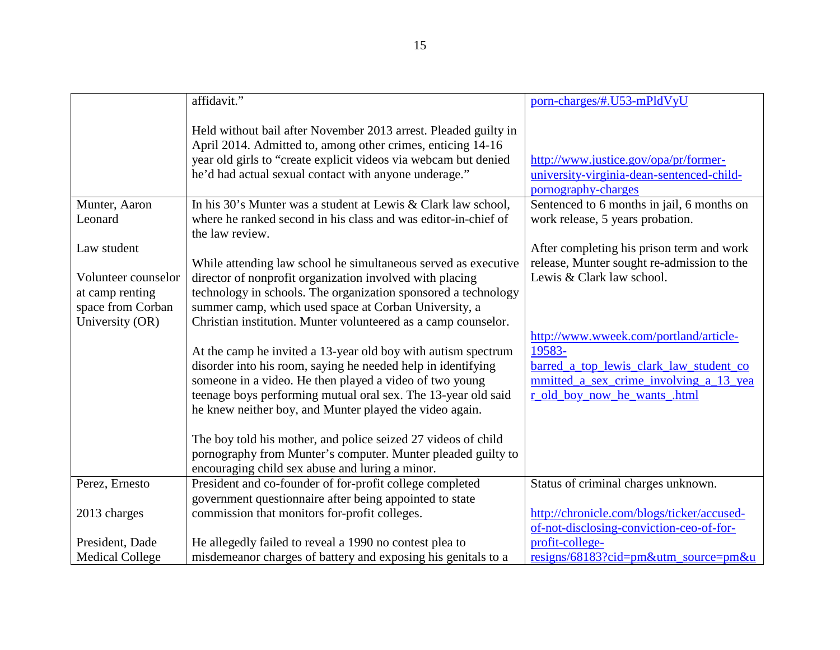|                                      | affidavit."                                                                                                                                                                                                                                                                                                          | porn-charges/#.U53-mPldVyU                                                                                                                                            |
|--------------------------------------|----------------------------------------------------------------------------------------------------------------------------------------------------------------------------------------------------------------------------------------------------------------------------------------------------------------------|-----------------------------------------------------------------------------------------------------------------------------------------------------------------------|
|                                      | Held without bail after November 2013 arrest. Pleaded guilty in<br>April 2014. Admitted to, among other crimes, enticing 14-16<br>year old girls to "create explicit videos via webcam but denied<br>he'd had actual sexual contact with anyone underage."                                                           | http://www.justice.gov/opa/pr/former-<br>university-virginia-dean-sentenced-child-<br>pornography-charges                                                             |
| Munter, Aaron                        | In his 30's Munter was a student at Lewis & Clark law school,                                                                                                                                                                                                                                                        | Sentenced to 6 months in jail, 6 months on                                                                                                                            |
| Leonard                              | where he ranked second in his class and was editor-in-chief of                                                                                                                                                                                                                                                       | work release, 5 years probation.                                                                                                                                      |
|                                      | the law review.                                                                                                                                                                                                                                                                                                      |                                                                                                                                                                       |
| Law student                          |                                                                                                                                                                                                                                                                                                                      | After completing his prison term and work                                                                                                                             |
|                                      | While attending law school he simultaneous served as executive                                                                                                                                                                                                                                                       | release, Munter sought re-admission to the                                                                                                                            |
| Volunteer counselor                  | director of nonprofit organization involved with placing                                                                                                                                                                                                                                                             | Lewis & Clark law school.                                                                                                                                             |
| at camp renting<br>space from Corban | technology in schools. The organization sponsored a technology<br>summer camp, which used space at Corban University, a                                                                                                                                                                                              |                                                                                                                                                                       |
| University (OR)                      | Christian institution. Munter volunteered as a camp counselor.                                                                                                                                                                                                                                                       |                                                                                                                                                                       |
|                                      | At the camp he invited a 13-year old boy with autism spectrum<br>disorder into his room, saying he needed help in identifying<br>someone in a video. He then played a video of two young<br>teenage boys performing mutual oral sex. The 13-year old said<br>he knew neither boy, and Munter played the video again. | http://www.wweek.com/portland/article-<br>19583-<br>barred_a_top_lewis_clark_law_student_co<br>mmitted a sex crime involving a 13 yea<br>r_old_boy_now_he_wants_.html |
|                                      | The boy told his mother, and police seized 27 videos of child                                                                                                                                                                                                                                                        |                                                                                                                                                                       |
|                                      | pornography from Munter's computer. Munter pleaded guilty to                                                                                                                                                                                                                                                         |                                                                                                                                                                       |
|                                      | encouraging child sex abuse and luring a minor.                                                                                                                                                                                                                                                                      |                                                                                                                                                                       |
| Perez, Ernesto                       | President and co-founder of for-profit college completed                                                                                                                                                                                                                                                             | Status of criminal charges unknown.                                                                                                                                   |
|                                      | government questionnaire after being appointed to state                                                                                                                                                                                                                                                              |                                                                                                                                                                       |
| 2013 charges                         | commission that monitors for-profit colleges.                                                                                                                                                                                                                                                                        | http://chronicle.com/blogs/ticker/accused-                                                                                                                            |
| President, Dade                      | He allegedly failed to reveal a 1990 no contest plea to                                                                                                                                                                                                                                                              | of-not-disclosing-conviction-ceo-of-for-<br>profit-college-                                                                                                           |
|                                      |                                                                                                                                                                                                                                                                                                                      |                                                                                                                                                                       |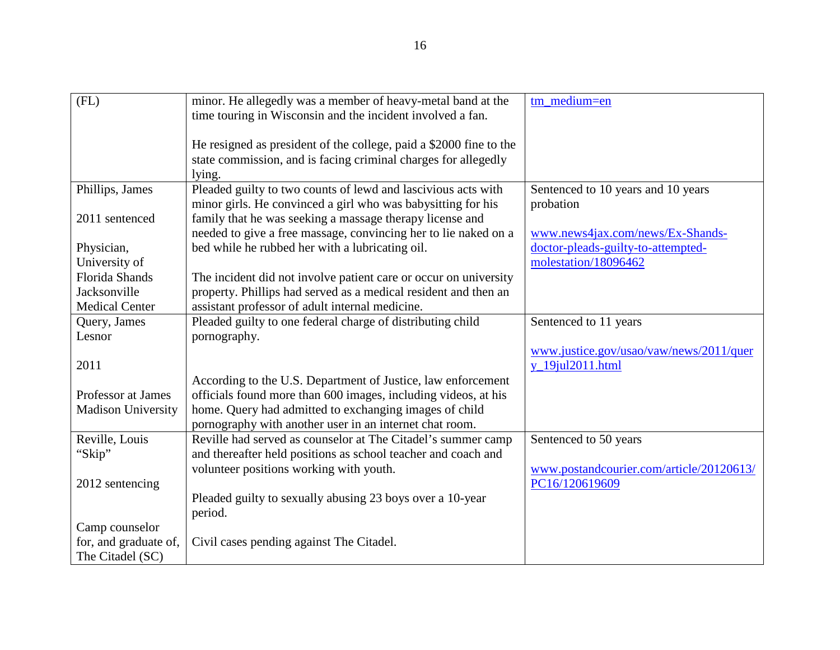| (FL)                      | minor. He allegedly was a member of heavy-metal band at the        | tm medium=en                             |
|---------------------------|--------------------------------------------------------------------|------------------------------------------|
|                           | time touring in Wisconsin and the incident involved a fan.         |                                          |
|                           |                                                                    |                                          |
|                           | He resigned as president of the college, paid a \$2000 fine to the |                                          |
|                           | state commission, and is facing criminal charges for allegedly     |                                          |
|                           | lying.                                                             |                                          |
| Phillips, James           | Pleaded guilty to two counts of lewd and lascivious acts with      | Sentenced to 10 years and 10 years       |
|                           | minor girls. He convinced a girl who was babysitting for his       | probation                                |
| 2011 sentenced            | family that he was seeking a massage therapy license and           |                                          |
|                           | needed to give a free massage, convincing her to lie naked on a    | www.news4jax.com/news/Ex-Shands-         |
| Physician,                | bed while he rubbed her with a lubricating oil.                    | doctor-pleads-guilty-to-attempted-       |
| University of             |                                                                    | molestation/18096462                     |
| <b>Florida Shands</b>     | The incident did not involve patient care or occur on university   |                                          |
| Jacksonville              | property. Phillips had served as a medical resident and then an    |                                          |
| <b>Medical Center</b>     | assistant professor of adult internal medicine.                    |                                          |
| Query, James              | Pleaded guilty to one federal charge of distributing child         | Sentenced to 11 years                    |
| Lesnor                    | pornography.                                                       |                                          |
|                           |                                                                    | www.justice.gov/usao/vaw/news/2011/quer  |
| 2011                      |                                                                    | y_19jul2011.html                         |
|                           | According to the U.S. Department of Justice, law enforcement       |                                          |
| Professor at James        | officials found more than 600 images, including videos, at his     |                                          |
| <b>Madison University</b> | home. Query had admitted to exchanging images of child             |                                          |
|                           | pornography with another user in an internet chat room.            |                                          |
| Reville, Louis            | Reville had served as counselor at The Citadel's summer camp       | Sentenced to 50 years                    |
| "Skip"                    | and thereafter held positions as school teacher and coach and      |                                          |
|                           | volunteer positions working with youth.                            | www.postandcourier.com/article/20120613/ |
| 2012 sentencing           |                                                                    | PC16/120619609                           |
|                           | Pleaded guilty to sexually abusing 23 boys over a 10-year          |                                          |
|                           | period.                                                            |                                          |
| Camp counselor            |                                                                    |                                          |
| for, and graduate of,     | Civil cases pending against The Citadel.                           |                                          |
| The Citadel (SC)          |                                                                    |                                          |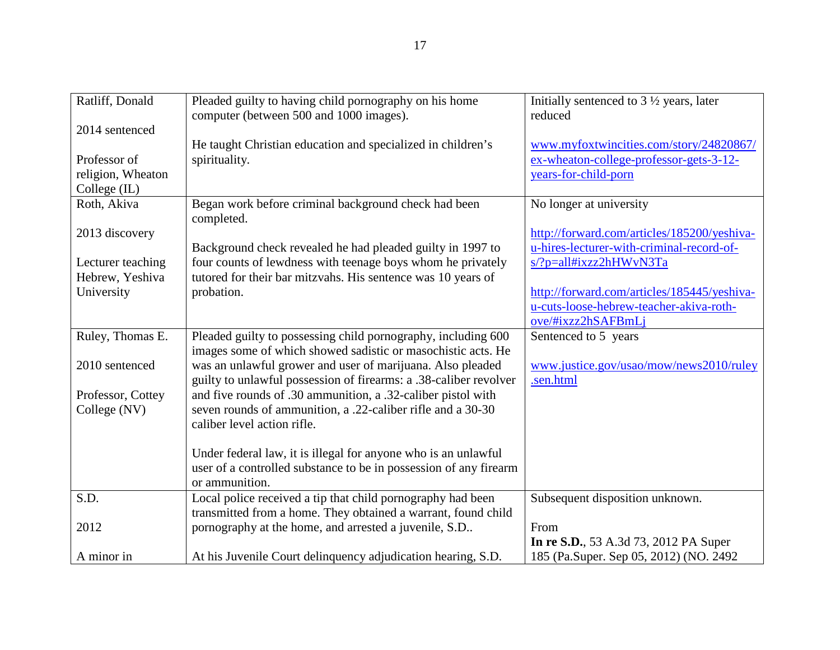| Ratliff, Donald   | Pleaded guilty to having child pornography on his home            | Initially sentenced to $3\frac{1}{2}$ years, later |
|-------------------|-------------------------------------------------------------------|----------------------------------------------------|
|                   | computer (between 500 and 1000 images).                           | reduced                                            |
| 2014 sentenced    |                                                                   |                                                    |
|                   | He taught Christian education and specialized in children's       | www.myfoxtwincities.com/story/24820867/            |
| Professor of      | spirituality.                                                     | ex-wheaton-college-professor-gets-3-12-            |
| religion, Wheaton |                                                                   | years-for-child-porn                               |
| College (IL)      |                                                                   |                                                    |
| Roth, Akiva       | Began work before criminal background check had been              | No longer at university                            |
|                   | completed.                                                        |                                                    |
| 2013 discovery    |                                                                   | http://forward.com/articles/185200/yeshiva-        |
|                   | Background check revealed he had pleaded guilty in 1997 to        | u-hires-lecturer-with-criminal-record-of-          |
| Lecturer teaching | four counts of lewdness with teenage boys whom he privately       | s/?p=all#ixzz2hHWvN3Ta                             |
| Hebrew, Yeshiva   | tutored for their bar mitzvahs. His sentence was 10 years of      |                                                    |
| University        | probation.                                                        | http://forward.com/articles/185445/yeshiva-        |
|                   |                                                                   | u-cuts-loose-hebrew-teacher-akiva-roth-            |
|                   |                                                                   | ove/#ixzz2hSAFBmLj                                 |
| Ruley, Thomas E.  | Pleaded guilty to possessing child pornography, including 600     | Sentenced to 5 years                               |
|                   | images some of which showed sadistic or masochistic acts. He      |                                                    |
| 2010 sentenced    | was an unlawful grower and user of marijuana. Also pleaded        | www.justice.gov/usao/mow/news2010/ruley            |
|                   | guilty to unlawful possession of firearms: a .38-caliber revolver | .sen.html                                          |
| Professor, Cottey | and five rounds of .30 ammunition, a .32-caliber pistol with      |                                                    |
| College (NV)      | seven rounds of ammunition, a .22-caliber rifle and a 30-30       |                                                    |
|                   | caliber level action rifle.                                       |                                                    |
|                   |                                                                   |                                                    |
|                   | Under federal law, it is illegal for anyone who is an unlawful    |                                                    |
|                   | user of a controlled substance to be in possession of any firearm |                                                    |
|                   | or ammunition.                                                    |                                                    |
| S.D.              | Local police received a tip that child pornography had been       | Subsequent disposition unknown.                    |
|                   | transmitted from a home. They obtained a warrant, found child     |                                                    |
| 2012              | pornography at the home, and arrested a juvenile, S.D             | From                                               |
|                   |                                                                   | In re S.D., 53 A.3d 73, 2012 PA Super              |
| A minor in        | At his Juvenile Court delinquency adjudication hearing, S.D.      | 185 (Pa.Super. Sep 05, 2012) (NO. 2492             |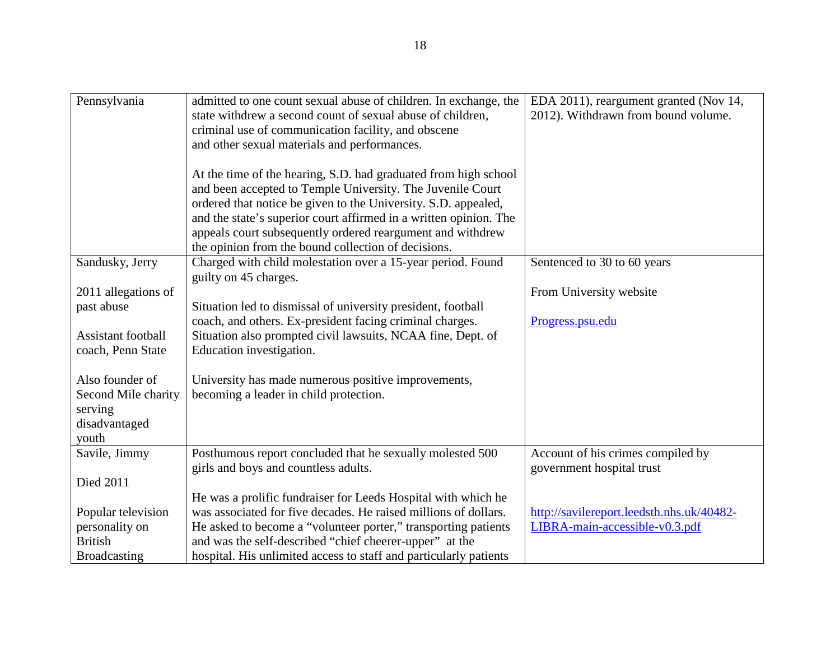| Pennsylvania           | admitted to one count sexual abuse of children. In exchange, the<br>state withdrew a second count of sexual abuse of children, | EDA 2011), reargument granted (Nov 14,<br>2012). Withdrawn from bound volume. |
|------------------------|--------------------------------------------------------------------------------------------------------------------------------|-------------------------------------------------------------------------------|
|                        | criminal use of communication facility, and obscene                                                                            |                                                                               |
|                        | and other sexual materials and performances.                                                                                   |                                                                               |
|                        |                                                                                                                                |                                                                               |
|                        | At the time of the hearing, S.D. had graduated from high school                                                                |                                                                               |
|                        | and been accepted to Temple University. The Juvenile Court                                                                     |                                                                               |
|                        | ordered that notice be given to the University. S.D. appealed,                                                                 |                                                                               |
|                        | and the state's superior court affirmed in a written opinion. The                                                              |                                                                               |
|                        | appeals court subsequently ordered reargument and withdrew                                                                     |                                                                               |
|                        | the opinion from the bound collection of decisions.                                                                            |                                                                               |
| Sandusky, Jerry        | Charged with child molestation over a 15-year period. Found                                                                    | Sentenced to 30 to 60 years                                                   |
|                        | guilty on 45 charges.                                                                                                          |                                                                               |
| 2011 allegations of    |                                                                                                                                | From University website                                                       |
| past abuse             | Situation led to dismissal of university president, football                                                                   |                                                                               |
|                        | coach, and others. Ex-president facing criminal charges.                                                                       | Progress.psu.edu                                                              |
| Assistant football     | Situation also prompted civil lawsuits, NCAA fine, Dept. of                                                                    |                                                                               |
| coach, Penn State      | Education investigation.                                                                                                       |                                                                               |
|                        |                                                                                                                                |                                                                               |
| Also founder of        | University has made numerous positive improvements,                                                                            |                                                                               |
| Second Mile charity    | becoming a leader in child protection.                                                                                         |                                                                               |
| serving                |                                                                                                                                |                                                                               |
| disadvantaged<br>youth |                                                                                                                                |                                                                               |
| Savile, Jimmy          | Posthumous report concluded that he sexually molested 500                                                                      | Account of his crimes compiled by                                             |
|                        | girls and boys and countless adults.                                                                                           | government hospital trust                                                     |
| <b>Died 2011</b>       |                                                                                                                                |                                                                               |
|                        | He was a prolific fundraiser for Leeds Hospital with which he                                                                  |                                                                               |
| Popular television     | was associated for five decades. He raised millions of dollars.                                                                | http://savilereport.leedsth.nhs.uk/40482-                                     |
| personality on         | He asked to become a "volunteer porter," transporting patients                                                                 | LIBRA-main-accessible-v0.3.pdf                                                |
| <b>British</b>         | and was the self-described "chief cheerer-upper" at the                                                                        |                                                                               |
| <b>Broadcasting</b>    | hospital. His unlimited access to staff and particularly patients                                                              |                                                                               |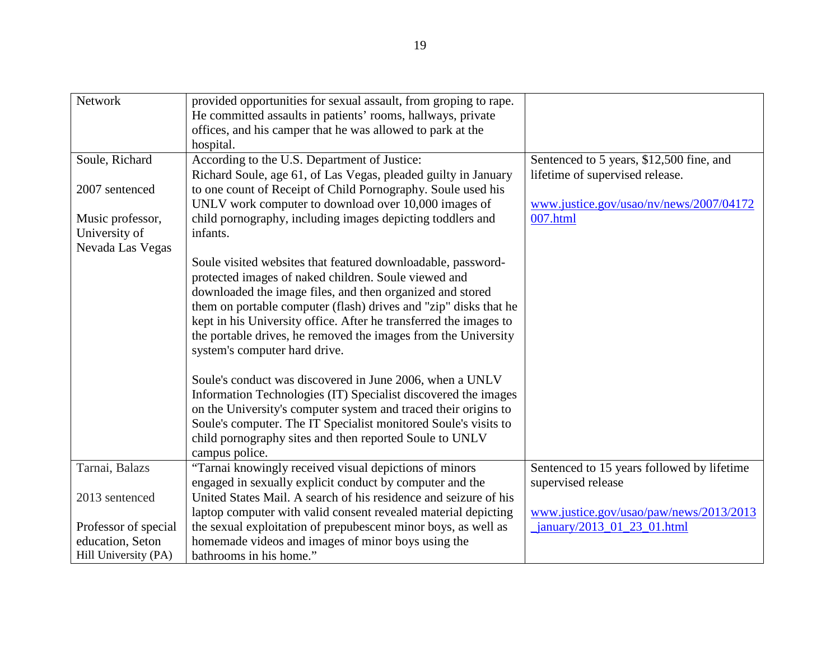| Network              | provided opportunities for sexual assault, from groping to rape.  |                                            |
|----------------------|-------------------------------------------------------------------|--------------------------------------------|
|                      | He committed assaults in patients' rooms, hallways, private       |                                            |
|                      | offices, and his camper that he was allowed to park at the        |                                            |
|                      | hospital.                                                         |                                            |
| Soule, Richard       | According to the U.S. Department of Justice:                      | Sentenced to 5 years, \$12,500 fine, and   |
|                      | Richard Soule, age 61, of Las Vegas, pleaded guilty in January    | lifetime of supervised release.            |
| 2007 sentenced       | to one count of Receipt of Child Pornography. Soule used his      |                                            |
|                      | UNLV work computer to download over 10,000 images of              | www.justice.gov/usao/nv/news/2007/04172    |
| Music professor,     | child pornography, including images depicting toddlers and        | 007.html                                   |
| University of        | infants.                                                          |                                            |
| Nevada Las Vegas     |                                                                   |                                            |
|                      | Soule visited websites that featured downloadable, password-      |                                            |
|                      | protected images of naked children. Soule viewed and              |                                            |
|                      | downloaded the image files, and then organized and stored         |                                            |
|                      | them on portable computer (flash) drives and "zip" disks that he  |                                            |
|                      | kept in his University office. After he transferred the images to |                                            |
|                      | the portable drives, he removed the images from the University    |                                            |
|                      | system's computer hard drive.                                     |                                            |
|                      |                                                                   |                                            |
|                      | Soule's conduct was discovered in June 2006, when a UNLV          |                                            |
|                      | Information Technologies (IT) Specialist discovered the images    |                                            |
|                      | on the University's computer system and traced their origins to   |                                            |
|                      | Soule's computer. The IT Specialist monitored Soule's visits to   |                                            |
|                      | child pornography sites and then reported Soule to UNLV           |                                            |
|                      | campus police.                                                    |                                            |
| Tarnai, Balazs       | "Tarnai knowingly received visual depictions of minors            | Sentenced to 15 years followed by lifetime |
|                      | engaged in sexually explicit conduct by computer and the          | supervised release                         |
| 2013 sentenced       | United States Mail. A search of his residence and seizure of his  |                                            |
|                      | laptop computer with valid consent revealed material depicting    | www.justice.gov/usao/paw/news/2013/2013    |
| Professor of special | the sexual exploitation of prepubescent minor boys, as well as    | $january/2013$ 01 23 01.html               |
| education, Seton     | homemade videos and images of minor boys using the                |                                            |
| Hill University (PA) | bathrooms in his home."                                           |                                            |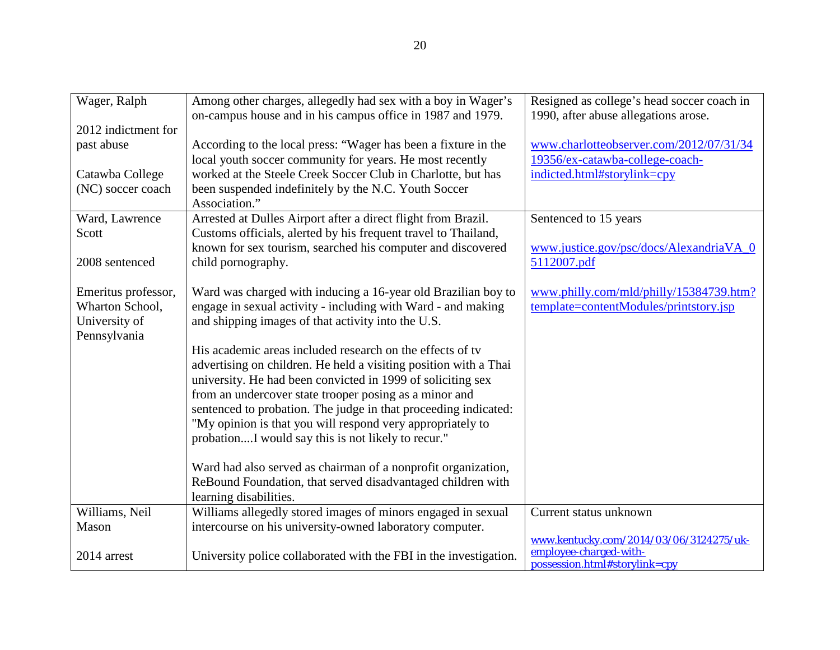| Wager, Ralph        | Among other charges, allegedly had sex with a boy in Wager's      | Resigned as college's head soccer coach in |
|---------------------|-------------------------------------------------------------------|--------------------------------------------|
|                     | on-campus house and in his campus office in 1987 and 1979.        | 1990, after abuse allegations arose.       |
| 2012 indictment for |                                                                   |                                            |
| past abuse          | According to the local press: "Wager has been a fixture in the    | www.charlotteobserver.com/2012/07/31/34    |
|                     | local youth soccer community for years. He most recently          | 19356/ex-catawba-college-coach-            |
| Catawba College     | worked at the Steele Creek Soccer Club in Charlotte, but has      | indicted.html#storylink=cpy                |
| (NC) soccer coach   | been suspended indefinitely by the N.C. Youth Soccer              |                                            |
|                     | Association."                                                     |                                            |
| Ward, Lawrence      | Arrested at Dulles Airport after a direct flight from Brazil.     | Sentenced to 15 years                      |
| Scott               | Customs officials, alerted by his frequent travel to Thailand,    |                                            |
|                     | known for sex tourism, searched his computer and discovered       | www.justice.gov/psc/docs/AlexandriaVA_0    |
| 2008 sentenced      | child pornography.                                                | 5112007.pdf                                |
|                     |                                                                   |                                            |
| Emeritus professor, | Ward was charged with inducing a 16-year old Brazilian boy to     | www.philly.com/mld/philly/15384739.htm?    |
| Wharton School,     | engage in sexual activity - including with Ward - and making      | template=contentModules/printstory.jsp     |
| University of       | and shipping images of that activity into the U.S.                |                                            |
| Pennsylvania        |                                                                   |                                            |
|                     | His academic areas included research on the effects of ty         |                                            |
|                     | advertising on children. He held a visiting position with a Thai  |                                            |
|                     | university. He had been convicted in 1999 of soliciting sex       |                                            |
|                     | from an undercover state trooper posing as a minor and            |                                            |
|                     | sentenced to probation. The judge in that proceeding indicated:   |                                            |
|                     | "My opinion is that you will respond very appropriately to        |                                            |
|                     | probationI would say this is not likely to recur."                |                                            |
|                     |                                                                   |                                            |
|                     | Ward had also served as chairman of a nonprofit organization,     |                                            |
|                     | ReBound Foundation, that served disadvantaged children with       |                                            |
|                     | learning disabilities.                                            |                                            |
| Williams, Neil      | Williams allegedly stored images of minors engaged in sexual      | Current status unknown                     |
| Mason               | intercourse on his university-owned laboratory computer.          |                                            |
|                     |                                                                   | www.kentucky.com/2014/03/06/3124275/uk-    |
| 2014 arrest         | University police collaborated with the FBI in the investigation. | employee-charged-with-                     |
|                     |                                                                   | possession.html#storylink=cpy              |